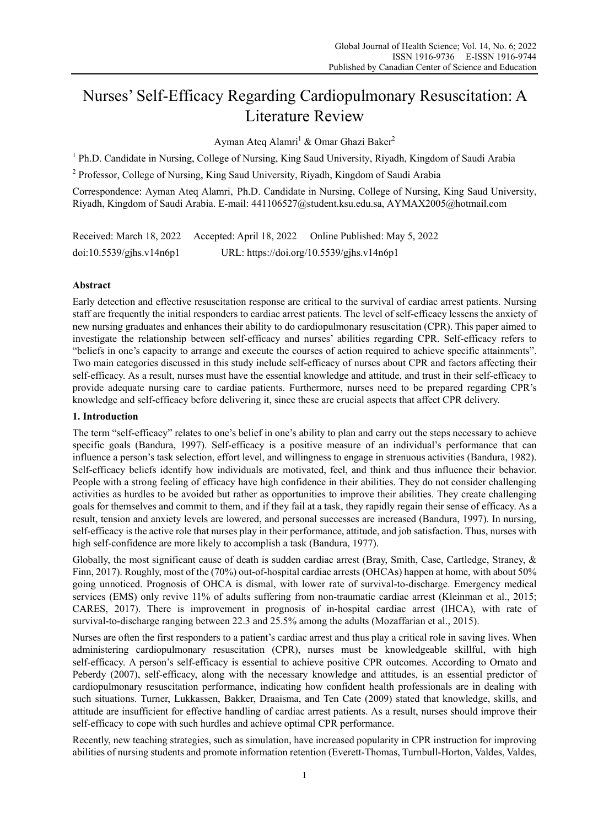# Nurses' Self-Efficacy Regarding Cardiopulmonary Resuscitation: A Literature Review

Ayman Ateq Alamri<sup>1</sup> & Omar Ghazi Baker<sup>2</sup>

<sup>1</sup> Ph.D. Candidate in Nursing, College of Nursing, King Saud University, Riyadh, Kingdom of Saudi Arabia

<sup>2</sup> Professor, College of Nursing, King Saud University, Riyadh, Kingdom of Saudi Arabia

Correspondence: Ayman Ateq Alamri, Ph.D. Candidate in Nursing, College of Nursing, King Saud University, Riyadh, Kingdom of Saudi Arabia. E-mail: 441106527@student.ksu.edu.sa, AYMAX2005@hotmail.com

| Received: March 18, 2022 Accepted: April 18, 2022 | Online Published: May 5, 2022             |
|---------------------------------------------------|-------------------------------------------|
| doi:10.5539/gjhs.v14n6p1                          | URL: https://doi.org/10.5539/gjhs.v14n6p1 |

# **Abstract**

Early detection and effective resuscitation response are critical to the survival of cardiac arrest patients. Nursing staff are frequently the initial responders to cardiac arrest patients. The level of self-efficacy lessens the anxiety of new nursing graduates and enhances their ability to do cardiopulmonary resuscitation (CPR). This paper aimed to investigate the relationship between self-efficacy and nurses' abilities regarding CPR. Self-efficacy refers to "beliefs in one's capacity to arrange and execute the courses of action required to achieve specific attainments". Two main categories discussed in this study include self-efficacy of nurses about CPR and factors affecting their self-efficacy. As a result, nurses must have the essential knowledge and attitude, and trust in their self-efficacy to provide adequate nursing care to cardiac patients. Furthermore, nurses need to be prepared regarding CPR's knowledge and self-efficacy before delivering it, since these are crucial aspects that affect CPR delivery.

# **1. Introduction**

The term "self-efficacy" relates to one's belief in one's ability to plan and carry out the steps necessary to achieve specific goals (Bandura, 1997). Self-efficacy is a positive measure of an individual's performance that can influence a person's task selection, effort level, and willingness to engage in strenuous activities (Bandura, 1982). Self-efficacy beliefs identify how individuals are motivated, feel, and think and thus influence their behavior. People with a strong feeling of efficacy have high confidence in their abilities. They do not consider challenging activities as hurdles to be avoided but rather as opportunities to improve their abilities. They create challenging goals for themselves and commit to them, and if they fail at a task, they rapidly regain their sense of efficacy. As a result, tension and anxiety levels are lowered, and personal successes are increased (Bandura, 1997). In nursing, self-efficacy is the active role that nurses play in their performance, attitude, and job satisfaction. Thus, nurses with high self-confidence are more likely to accomplish a task (Bandura, 1977).

Globally, the most significant cause of death is sudden cardiac arrest (Bray, Smith, Case, Cartledge, Straney, & Finn, 2017). Roughly, most of the (70%) out-of-hospital cardiac arrests (OHCAs) happen at home, with about 50% going unnoticed. Prognosis of OHCA is dismal, with lower rate of survival-to-discharge. Emergency medical services (EMS) only revive 11% of adults suffering from non-traumatic cardiac arrest (Kleinman et al., 2015; CARES, 2017). There is improvement in prognosis of in-hospital cardiac arrest (IHCA), with rate of survival-to-discharge ranging between 22.3 and 25.5% among the adults (Mozaffarian et al., 2015).

Nurses are often the first responders to a patient's cardiac arrest and thus play a critical role in saving lives. When administering cardiopulmonary resuscitation (CPR), nurses must be knowledgeable skillful, with high self-efficacy. A person's self-efficacy is essential to achieve positive CPR outcomes. According to Ornato and Peberdy (2007), self-efficacy, along with the necessary knowledge and attitudes, is an essential predictor of cardiopulmonary resuscitation performance, indicating how confident health professionals are in dealing with such situations. Turner, Lukkassen, Bakker, Draaisma, and Ten Cate (2009) stated that knowledge, skills, and attitude are insufficient for effective handling of cardiac arrest patients. As a result, nurses should improve their self-efficacy to cope with such hurdles and achieve optimal CPR performance.

Recently, new teaching strategies, such as simulation, have increased popularity in CPR instruction for improving abilities of nursing students and promote information retention (Everett-Thomas, Turnbull-Horton, Valdes, Valdes,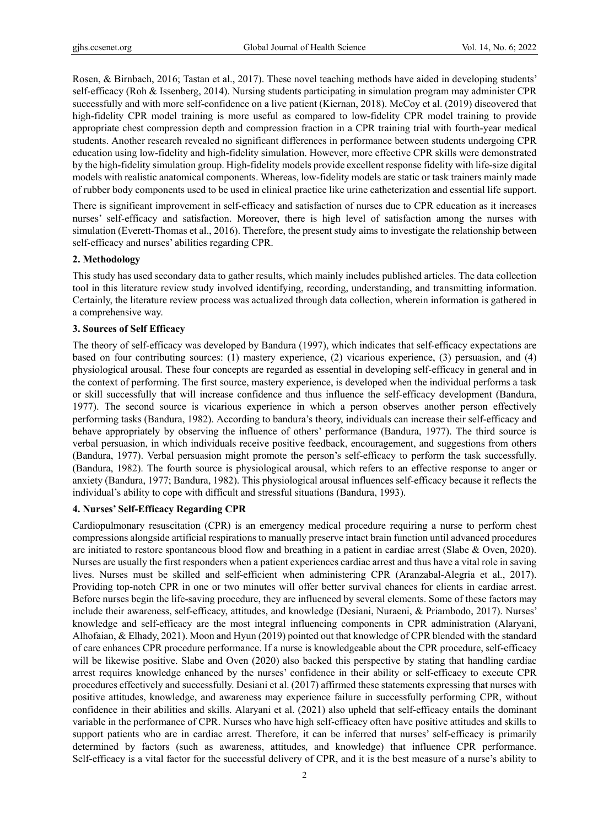Rosen, & Birnbach, 2016; Tastan et al., 2017). These novel teaching methods have aided in developing students' self-efficacy (Roh & Issenberg, 2014). Nursing students participating in simulation program may administer CPR successfully and with more self-confidence on a live patient (Kiernan, 2018). McCoy et al. (2019) discovered that high-fidelity CPR model training is more useful as compared to low-fidelity CPR model training to provide appropriate chest compression depth and compression fraction in a CPR training trial with fourth-year medical students. Another research revealed no significant differences in performance between students undergoing CPR education using low-fidelity and high-fidelity simulation. However, more effective CPR skills were demonstrated by the high-fidelity simulation group. High-fidelity models provide excellent response fidelity with life-size digital models with realistic anatomical components. Whereas, low-fidelity models are static or task trainers mainly made of rubber body components used to be used in clinical practice like urine catheterization and essential life support.

There is significant improvement in self-efficacy and satisfaction of nurses due to CPR education as it increases nurses' self-efficacy and satisfaction. Moreover, there is high level of satisfaction among the nurses with simulation (Everett-Thomas et al., 2016). Therefore, the present study aims to investigate the relationship between self-efficacy and nurses' abilities regarding CPR.

# **2. Methodology**

This study has used secondary data to gather results, which mainly includes published articles. The data collection tool in this literature review study involved identifying, recording, understanding, and transmitting information. Certainly, the literature review process was actualized through data collection, wherein information is gathered in a comprehensive way.

#### **3. Sources of Self Efficacy**

The theory of self-efficacy was developed by Bandura (1997), which indicates that self-efficacy expectations are based on four contributing sources: (1) mastery experience, (2) vicarious experience, (3) persuasion, and (4) physiological arousal. These four concepts are regarded as essential in developing self-efficacy in general and in the context of performing. The first source, mastery experience, is developed when the individual performs a task or skill successfully that will increase confidence and thus influence the self-efficacy development (Bandura, 1977). The second source is vicarious experience in which a person observes another person effectively performing tasks (Bandura, 1982). According to bandura's theory, individuals can increase their self-efficacy and behave appropriately by observing the influence of others' performance (Bandura, 1977). The third source is verbal persuasion, in which individuals receive positive feedback, encouragement, and suggestions from others (Bandura, 1977). Verbal persuasion might promote the person's self-efficacy to perform the task successfully. (Bandura, 1982). The fourth source is physiological arousal, which refers to an effective response to anger or anxiety (Bandura, 1977; Bandura, 1982). This physiological arousal influences self-efficacy because it reflects the individual's ability to cope with difficult and stressful situations (Bandura, 1993).

# **4. Nurses' Self-Efficacy Regarding CPR**

Cardiopulmonary resuscitation (CPR) is an emergency medical procedure requiring a nurse to perform chest compressions alongside artificial respirations to manually preserve intact brain function until advanced procedures are initiated to restore spontaneous blood flow and breathing in a patient in cardiac arrest (Slabe & Oven, 2020). Nurses are usually the first responders when a patient experiences cardiac arrest and thus have a vital role in saving lives. Nurses must be skilled and self-efficient when administering CPR (Aranzabal-Alegria et al., 2017). Providing top-notch CPR in one or two minutes will offer better survival chances for clients in cardiac arrest. Before nurses begin the life-saving procedure, they are influenced by several elements. Some of these factors may include their awareness, self-efficacy, attitudes, and knowledge (Desiani, Nuraeni, & Priambodo, 2017). Nurses' knowledge and self-efficacy are the most integral influencing components in CPR administration (Alaryani, Alhofaian, & Elhady, 2021). Moon and Hyun (2019) pointed out that knowledge of CPR blended with the standard of care enhances CPR procedure performance. If a nurse is knowledgeable about the CPR procedure, self-efficacy will be likewise positive. Slabe and Oven (2020) also backed this perspective by stating that handling cardiac arrest requires knowledge enhanced by the nurses' confidence in their ability or self-efficacy to execute CPR procedures effectively and successfully. Desiani et al. (2017) affirmed these statements expressing that nurses with positive attitudes, knowledge, and awareness may experience failure in successfully performing CPR, without confidence in their abilities and skills. Alaryani et al. (2021) also upheld that self-efficacy entails the dominant variable in the performance of CPR. Nurses who have high self-efficacy often have positive attitudes and skills to support patients who are in cardiac arrest. Therefore, it can be inferred that nurses' self-efficacy is primarily determined by factors (such as awareness, attitudes, and knowledge) that influence CPR performance. Self-efficacy is a vital factor for the successful delivery of CPR, and it is the best measure of a nurse's ability to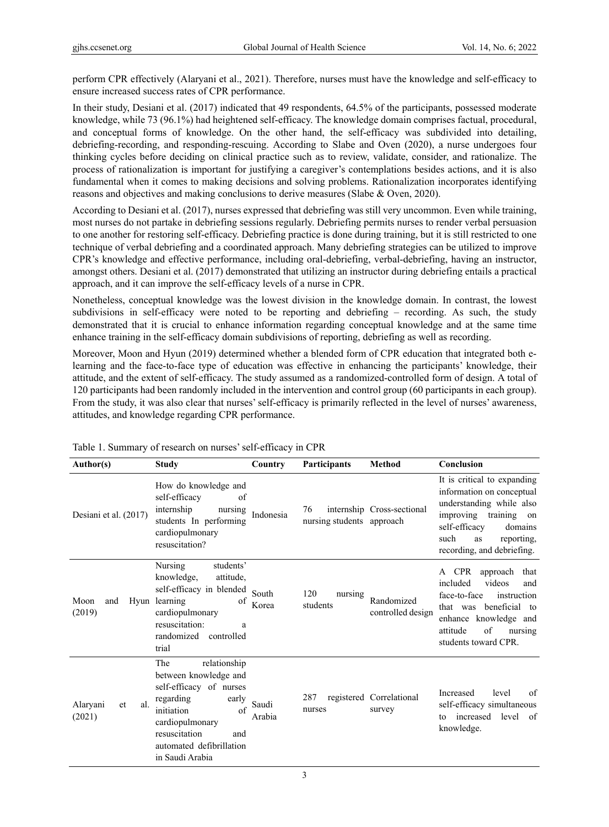perform CPR effectively (Alaryani et al., 2021). Therefore, nurses must have the knowledge and self-efficacy to ensure increased success rates of CPR performance.

In their study, Desiani et al. (2017) indicated that 49 respondents, 64.5% of the participants, possessed moderate knowledge, while 73 (96.1%) had heightened self-efficacy. The knowledge domain comprises factual, procedural, and conceptual forms of knowledge. On the other hand, the self-efficacy was subdivided into detailing, debriefing-recording, and responding-rescuing. According to Slabe and Oven (2020), a nurse undergoes four thinking cycles before deciding on clinical practice such as to review, validate, consider, and rationalize. The process of rationalization is important for justifying a caregiver's contemplations besides actions, and it is also fundamental when it comes to making decisions and solving problems. Rationalization incorporates identifying reasons and objectives and making conclusions to derive measures (Slabe & Oven, 2020).

According to Desiani et al. (2017), nurses expressed that debriefing was still very uncommon. Even while training, most nurses do not partake in debriefing sessions regularly. Debriefing permits nurses to render verbal persuasion to one another for restoring self-efficacy. Debriefing practice is done during training, but it is still restricted to one technique of verbal debriefing and a coordinated approach. Many debriefing strategies can be utilized to improve CPR's knowledge and effective performance, including oral-debriefing, verbal-debriefing, having an instructor, amongst others. Desiani et al. (2017) demonstrated that utilizing an instructor during debriefing entails a practical approach, and it can improve the self-efficacy levels of a nurse in CPR.

Nonetheless, conceptual knowledge was the lowest division in the knowledge domain. In contrast, the lowest subdivisions in self-efficacy were noted to be reporting and debriefing – recording. As such, the study demonstrated that it is crucial to enhance information regarding conceptual knowledge and at the same time enhance training in the self-efficacy domain subdivisions of reporting, debriefing as well as recording.

Moreover, Moon and Hyun (2019) determined whether a blended form of CPR education that integrated both elearning and the face-to-face type of education was effective in enhancing the participants' knowledge, their attitude, and the extent of self‐efficacy. The study assumed as a randomized-controlled form of design. A total of 120 participants had been randomly included in the intervention and control group (60 participants in each group). From the study, it was also clear that nurses' self-efficacy is primarily reflected in the level of nurses' awareness, attitudes, and knowledge regarding CPR performance.

| Author(s)                       | <b>Study</b>                                                                                                                                                                                                | Country         | <b>Participants</b>             | <b>Method</b>                      | Conclusion                                                                                                                                                                                                |
|---------------------------------|-------------------------------------------------------------------------------------------------------------------------------------------------------------------------------------------------------------|-----------------|---------------------------------|------------------------------------|-----------------------------------------------------------------------------------------------------------------------------------------------------------------------------------------------------------|
| Desiani et al. (2017)           | How do knowledge and<br>self-efficacy<br>of<br>internship<br>nursing<br>students In performing<br>cardiopulmonary<br>resuscitation?                                                                         | Indonesia       | 76<br>nursing students approach | internship Cross-sectional         | It is critical to expanding<br>information on conceptual<br>understanding while also<br>improving<br>training<br>on<br>self-efficacy<br>domains<br>such<br>reporting,<br>as<br>recording, and debriefing. |
| Moon<br>and<br>(2019)           | Nursing<br>students'<br>knowledge,<br>attitude,<br>self-efficacy in blended<br>Hyun learning<br>of<br>cardiopulmonary<br>resuscitation:<br>a<br>randomized controlled<br>trial                              | South<br>Korea  | 120<br>nursing<br>students      | Randomized<br>controlled design    | approach<br>A CPR<br>that<br>included<br>videos<br>and<br>face-to-face<br>instruction<br>that was beneficial to<br>enhance knowledge and<br>of<br>attitude<br>nursing<br>students toward CPR.             |
| Alaryani<br>al.<br>et<br>(2021) | relationship<br>The<br>between knowledge and<br>self-efficacy of nurses<br>regarding<br>early<br>initiation<br>of<br>cardiopulmonary<br>resuscitation<br>and<br>automated defibrillation<br>in Saudi Arabia | Saudi<br>Arabia | 287<br>nurses                   | registered Correlational<br>survey | level<br>of<br>Increased<br>self-efficacy simultaneous<br>increased<br>level<br>of<br>tο<br>knowledge.                                                                                                    |

Table 1. Summary of research on nurses' self-efficacy in CPR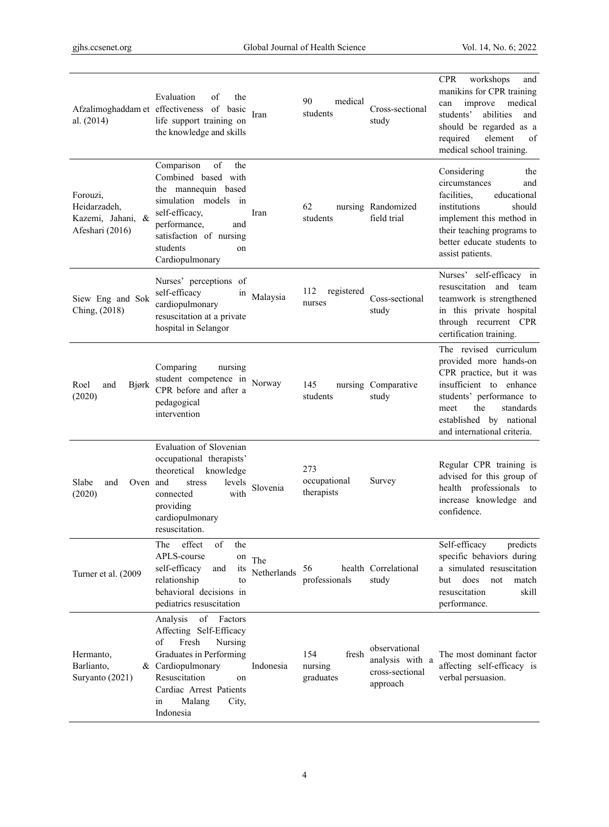| al. (2014)                                                       | Evaluation<br>of<br>the<br>Afzalimoghaddam et effectiveness of basic<br>life support training on<br>the knowledge and skills                                                                                           | Iran               | 90<br>medical<br>students            | Cross-sectional<br>study                                        | <b>CPR</b><br>workshops<br>and<br>manikins for CPR training<br>improve<br>medical<br>can<br>students'<br>abilities<br>and<br>should be regarded as a<br>required<br>element<br>of<br>medical school training.             |
|------------------------------------------------------------------|------------------------------------------------------------------------------------------------------------------------------------------------------------------------------------------------------------------------|--------------------|--------------------------------------|-----------------------------------------------------------------|---------------------------------------------------------------------------------------------------------------------------------------------------------------------------------------------------------------------------|
| Forouzi,<br>Heidarzadeh,<br>Kazemi, Jahani, &<br>Afeshari (2016) | Comparison<br>of<br>the<br>Combined based with<br>the mannequin based<br>simulation models in<br>self-efficacy,<br>performance,<br>and<br>satisfaction of nursing<br>students<br>on<br>Cardiopulmonary                 | Iran               | 62<br>students                       | nursing Randomized<br>field trial                               | Considering<br>the<br>circumstances<br>and<br>facilities,<br>educational<br>institutions<br>should<br>implement this method in<br>their teaching programs to<br>better educate students to<br>assist patients.            |
| Siew Eng and Sok<br>Ching, (2018)                                | Nurses' perceptions of<br>self-efficacy<br>1n<br>cardiopulmonary<br>resuscitation at a private<br>hospital in Selangor                                                                                                 | Malaysia           | 112<br>registered<br>nurses          | Coss-sectional<br>study                                         | Nurses' self-efficacy in<br>resuscitation and team<br>teamwork is strengthened<br>in this private hospital<br>through recurrent CPR<br>certification training.                                                            |
| Roel<br>and<br>Bjørk<br>(2020)                                   | Comparing<br>nursing<br>student competence in Norway<br>CPR before and after a<br>pedagogical<br>intervention                                                                                                          |                    | 145<br>students                      | nursing Comparative<br>study                                    | The revised curriculum<br>provided more hands-on<br>CPR practice, but it was<br>insufficient to enhance<br>students' performance to<br>the<br>meet<br>standards<br>established by national<br>and international criteria. |
| Oven and<br>Slabe<br>and<br>(2020)                               | Evaluation of Slovenian<br>occupational therapists'<br>theoretical<br>knowledge<br>stress<br>levels<br>connected<br>with<br>providing<br>cardiopulmonary<br>resuscitation.                                             | Slovenia           | 273<br>occupational<br>therapists    | Survey                                                          | Regular CPR training is<br>advised for this group of<br>health professionals to<br>increase knowledge and<br>confidence.                                                                                                  |
| Turner et al. (2009                                              | of<br>The<br>effect<br>the<br>APLS-course<br>on<br>self-efficacy<br>and<br><sub>1</sub> ts<br>relationship<br>to<br>behavioral decisions in<br>pediatrics resuscitation                                                | The<br>Netherlands | 56<br>professionals                  | health Correlational<br>study                                   | Self-efficacy<br>predicts<br>specific behaviors during<br>a simulated resuscitation<br>does<br>but<br>not<br>match<br>resuscitation<br>skill<br>performance.                                                              |
| Hermanto,<br>Barlianto,<br>Suryanto (2021)                       | of<br>Factors<br>Analysis<br>Affecting Self-Efficacy<br>Fresh<br>of<br>Nursing<br>Graduates in Performing<br>& Cardiopulmonary<br>Resuscitation<br>on<br>Cardiac Arrest Patients<br>in<br>Malang<br>City,<br>Indonesia | Indonesia          | 154<br>fresh<br>nursing<br>graduates | observational<br>analysis with a<br>cross-sectional<br>approach | The most dominant factor<br>affecting self-efficacy is<br>verbal persuasion.                                                                                                                                              |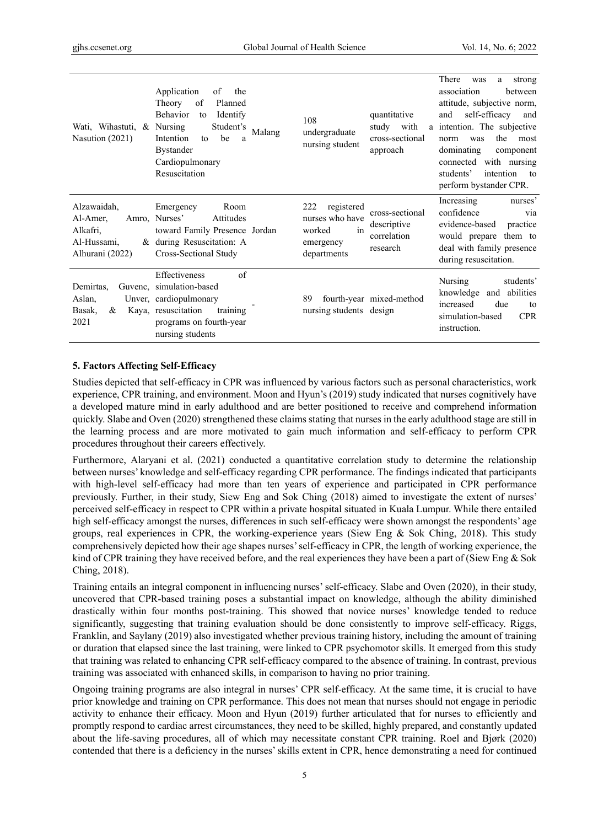| Wati, Wihastuti, & Nursing<br>Nasution (2021)                         | Application<br>of<br>the<br>of<br>Planned<br>Theory<br>Behavior<br>Identify<br>to<br>Student's<br>Malang<br>Intention<br>be<br>to<br>a<br><b>Bystander</b><br>Cardiopulmonary<br>Resuscitation | quantitative<br>108<br>study<br>with<br>undergraduate<br>cross-sectional<br>nursing student<br>approach                                       | There<br>strong<br>was<br>a<br>association<br>between<br>attitude, subjective norm,<br>self-efficacy<br>and<br>and<br>a intention. The subjective<br>the<br>most<br>norm<br>was<br>dominating<br>component<br>connected with nursing<br>intention<br>students'<br>to<br>perform bystander CPR. |
|-----------------------------------------------------------------------|------------------------------------------------------------------------------------------------------------------------------------------------------------------------------------------------|-----------------------------------------------------------------------------------------------------------------------------------------------|------------------------------------------------------------------------------------------------------------------------------------------------------------------------------------------------------------------------------------------------------------------------------------------------|
| Alzawaidah,<br>Al-Amer,<br>Alkafri,<br>Al-Hussami,<br>Alhurani (2022) | Emergency<br>Room<br>Amro, Nurses'<br>Attitudes<br>toward Family Presence Jordan<br>& during Resuscitation: A<br>Cross-Sectional Study                                                         | 222<br>registered<br>cross-sectional<br>nurses who have<br>descriptive<br>in<br>worked<br>correlation<br>emergency<br>research<br>departments | Increasing<br>nurses'<br>confidence<br>via<br>evidence-based<br>practice<br>would prepare them to<br>deal with family presence<br>during resuscitation.                                                                                                                                        |
| Demirtas,<br>Aslan,<br>Basak,<br>&<br>2021                            | $\sigma$ f<br><b>Effectiveness</b><br>Guvenc, simulation-based<br>Unver, cardiopulmonary<br>Kaya, resuscitation<br>training<br>programs on fourth-year<br>nursing students                     | fourth-year mixed-method<br>89<br>nursing students design                                                                                     | Nursing<br>students'<br>knowledge<br>and abilities<br>due<br>increased<br>to<br>simulation-based<br><b>CPR</b><br>instruction.                                                                                                                                                                 |

#### **5. Factors Affecting Self-Efficacy**

Studies depicted that self-efficacy in CPR was influenced by various factors such as personal characteristics, work experience, CPR training, and environment. Moon and Hyun's (2019) study indicated that nurses cognitively have a developed mature mind in early adulthood and are better positioned to receive and comprehend information quickly. Slabe and Oven (2020) strengthened these claims stating that nurses in the early adulthood stage are still in the learning process and are more motivated to gain much information and self-efficacy to perform CPR procedures throughout their careers effectively.

Furthermore, Alaryani et al. (2021) conducted a quantitative correlation study to determine the relationship between nurses' knowledge and self-efficacy regarding CPR performance. The findings indicated that participants with high-level self-efficacy had more than ten years of experience and participated in CPR performance previously. Further, in their study, Siew Eng and Sok Ching (2018) aimed to investigate the extent of nurses' perceived self-efficacy in respect to CPR within a private hospital situated in Kuala Lumpur. While there entailed high self-efficacy amongst the nurses, differences in such self-efficacy were shown amongst the respondents' age groups, real experiences in CPR, the working-experience years (Siew Eng & Sok Ching, 2018). This study comprehensively depicted how their age shapes nurses' self-efficacy in CPR, the length of working experience, the kind of CPR training they have received before, and the real experiences they have been a part of (Siew Eng & Sok Ching, 2018).

Training entails an integral component in influencing nurses' self-efficacy. Slabe and Oven (2020), in their study, uncovered that CPR-based training poses a substantial impact on knowledge, although the ability diminished drastically within four months post-training. This showed that novice nurses' knowledge tended to reduce significantly, suggesting that training evaluation should be done consistently to improve self-efficacy. Riggs, Franklin, and Saylany (2019) also investigated whether previous training history, including the amount of training or duration that elapsed since the last training, were linked to CPR psychomotor skills. It emerged from this study that training was related to enhancing CPR self-efficacy compared to the absence of training. In contrast, previous training was associated with enhanced skills, in comparison to having no prior training.

Ongoing training programs are also integral in nurses' CPR self-efficacy. At the same time, it is crucial to have prior knowledge and training on CPR performance. This does not mean that nurses should not engage in periodic activity to enhance their efficacy. Moon and Hyun (2019) further articulated that for nurses to efficiently and promptly respond to cardiac arrest circumstances, they need to be skilled, highly prepared, and constantly updated about the life-saving procedures, all of which may necessitate constant CPR training. Roel and Bjørk (2020) contended that there is a deficiency in the nurses' skills extent in CPR, hence demonstrating a need for continued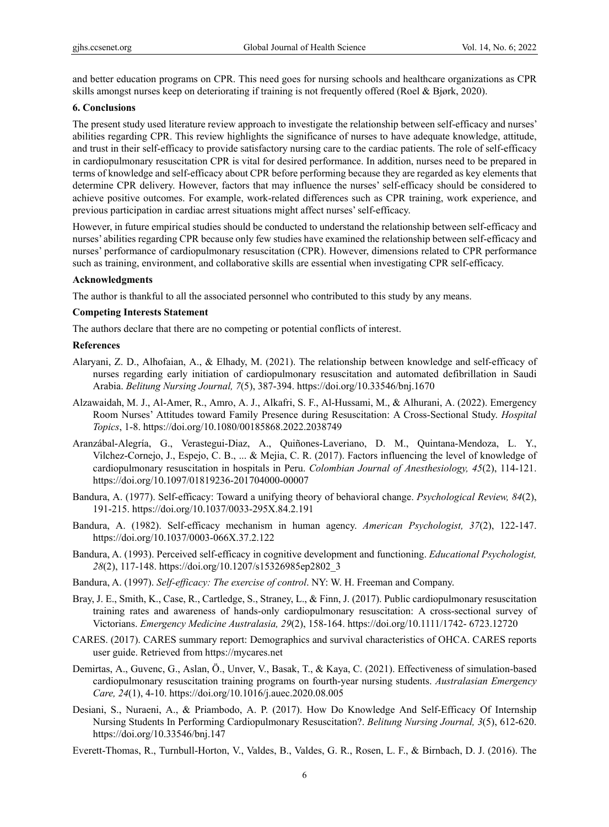and better education programs on CPR. This need goes for nursing schools and healthcare organizations as CPR skills amongst nurses keep on deteriorating if training is not frequently offered (Roel & Bjørk, 2020).

#### **6. Conclusions**

The present study used literature review approach to investigate the relationship between self-efficacy and nurses' abilities regarding CPR. This review highlights the significance of nurses to have adequate knowledge, attitude, and trust in their self-efficacy to provide satisfactory nursing care to the cardiac patients. The role of self-efficacy in cardiopulmonary resuscitation CPR is vital for desired performance. In addition, nurses need to be prepared in terms of knowledge and self-efficacy about CPR before performing because they are regarded as key elements that determine CPR delivery. However, factors that may influence the nurses' self-efficacy should be considered to achieve positive outcomes. For example, work-related differences such as CPR training, work experience, and previous participation in cardiac arrest situations might affect nurses' self-efficacy.

However, in future empirical studies should be conducted to understand the relationship between self-efficacy and nurses' abilities regarding CPR because only few studies have examined the relationship between self-efficacy and nurses' performance of cardiopulmonary resuscitation (CPR). However, dimensions related to CPR performance such as training, environment, and collaborative skills are essential when investigating CPR self-efficacy.

#### **Acknowledgments**

The author is thankful to all the associated personnel who contributed to this study by any means.

# **Competing Interests Statement**

The authors declare that there are no competing or potential conflicts of interest.

#### **References**

- Alaryani, Z. D., Alhofaian, A., & Elhady, M. (2021). The relationship between knowledge and self-efficacy of nurses regarding early initiation of cardiopulmonary resuscitation and automated defibrillation in Saudi Arabia. *Belitung Nursing Journal, 7*(5), 387-394. https://doi.org/10.33546/bnj.1670
- Alzawaidah, M. J., Al-Amer, R., Amro, A. J., Alkafri, S. F., Al-Hussami, M., & Alhurani, A. (2022). Emergency Room Nurses' Attitudes toward Family Presence during Resuscitation: A Cross-Sectional Study. *Hospital Topics*, 1-8. https://doi.org/10.1080/00185868.2022.2038749
- Aranzábal-Alegría, G., Verastegui-Diaz, A., Quiñones-Laveriano, D. M., Quintana-Mendoza, L. Y., Vilchez-Cornejo, J., Espejo, C. B., ... & Mejia, C. R. (2017). Factors influencing the level of knowledge of cardiopulmonary resuscitation in hospitals in Peru. *Colombian Journal of Anesthesiology, 45*(2), 114-121. https://doi.org/10.1097/01819236-201704000-00007
- Bandura, A. (1977). Self-efficacy: Toward a unifying theory of behavioral change. *Psychological Review, 84*(2), 191-215. https://doi.org/10.1037/0033-295X.84.2.191
- Bandura, A. (1982). Self-efficacy mechanism in human agency. *American Psychologist, 37*(2), 122-147. https://doi.org/10.1037/0003-066X.37.2.122
- Bandura, A. (1993). Perceived self-efficacy in cognitive development and functioning. *Educational Psychologist, 28*(2), 117-148. https://doi.org/10.1207/s15326985ep2802\_3
- Bandura, A. (1997). *Self-efficacy: The exercise of control*. NY: W. H. Freeman and Company.
- Bray, J. E., Smith, K., Case, R., Cartledge, S., Straney, L., & Finn, J. (2017). Public cardiopulmonary resuscitation training rates and awareness of hands‐only cardiopulmonary resuscitation: A cross‐sectional survey of Victorians. *Emergency Medicine Australasia, 29*(2), 158-164. https://doi.org/10.1111/1742- 6723.12720
- CARES. (2017). CARES summary report: Demographics and survival characteristics of OHCA. CARES reports user guide. Retrieved from https://mycares.net
- Demirtas, A., Guvenc, G., Aslan, Ö., Unver, V., Basak, T., & Kaya, C. (2021). Effectiveness of simulation-based cardiopulmonary resuscitation training programs on fourth-year nursing students. *Australasian Emergency Care, 24*(1), 4-10. https://doi.org/10.1016/j.auec.2020.08.005
- Desiani, S., Nuraeni, A., & Priambodo, A. P. (2017). How Do Knowledge And Self-Efficacy Of Internship Nursing Students In Performing Cardiopulmonary Resuscitation?. *Belitung Nursing Journal, 3*(5), 612-620. https://doi.org/10.33546/bnj.147
- Everett-Thomas, R., Turnbull-Horton, V., Valdes, B., Valdes, G. R., Rosen, L. F., & Birnbach, D. J. (2016). The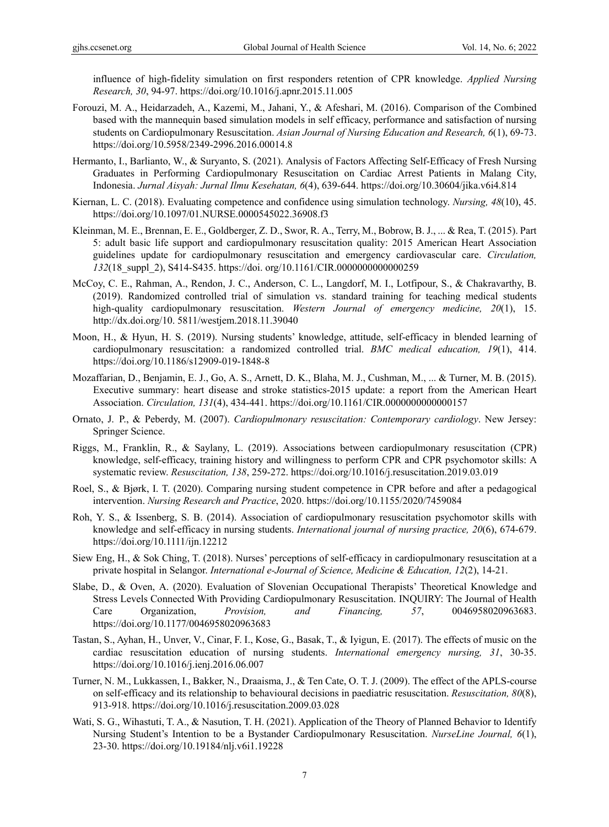influence of high-fidelity simulation on first responders retention of CPR knowledge. *Applied Nursing Research, 30*, 94-97. https://doi.org/10.1016/j.apnr.2015.11.005

- Forouzi, M. A., Heidarzadeh, A., Kazemi, M., Jahani, Y., & Afeshari, M. (2016). Comparison of the Combined based with the mannequin based simulation models in self efficacy, performance and satisfaction of nursing students on Cardiopulmonary Resuscitation. *Asian Journal of Nursing Education and Research, 6*(1), 69-73. https://doi.org/10.5958/2349-2996.2016.00014.8
- Hermanto, I., Barlianto, W., & Suryanto, S. (2021). Analysis of Factors Affecting Self-Efficacy of Fresh Nursing Graduates in Performing Cardiopulmonary Resuscitation on Cardiac Arrest Patients in Malang City, Indonesia. *Jurnal Aisyah: Jurnal Ilmu Kesehatan, 6*(4), 639-644. https://doi.org/10.30604/jika.v6i4.814
- Kiernan, L. C. (2018). Evaluating competence and confidence using simulation technology. *Nursing, 48*(10), 45. https://doi.org/10.1097/01.NURSE.0000545022.36908.f3
- Kleinman, M. E., Brennan, E. E., Goldberger, Z. D., Swor, R. A., Terry, M., Bobrow, B. J., ... & Rea, T. (2015). Part 5: adult basic life support and cardiopulmonary resuscitation quality: 2015 American Heart Association guidelines update for cardiopulmonary resuscitation and emergency cardiovascular care. *Circulation, 132*(18\_suppl\_2), S414-S435. https://doi. org/10.1161/CIR.0000000000000259
- McCoy, C. E., Rahman, A., Rendon, J. C., Anderson, C. L., Langdorf, M. I., Lotfipour, S., & Chakravarthy, B. (2019). Randomized controlled trial of simulation vs. standard training for teaching medical students high-quality cardiopulmonary resuscitation. *Western Journal of emergency medicine, 20*(1), 15. http://dx.doi.org/10. 5811/westjem.2018.11.39040
- Moon, H., & Hyun, H. S. (2019). Nursing students' knowledge, attitude, self-efficacy in blended learning of cardiopulmonary resuscitation: a randomized controlled trial. *BMC medical education, 19*(1), 414. https://doi.org/10.1186/s12909-019-1848-8
- Mozaffarian, D., Benjamin, E. J., Go, A. S., Arnett, D. K., Blaha, M. J., Cushman, M., ... & Turner, M. B. (2015). Executive summary: heart disease and stroke statistics-2015 update: a report from the American Heart Association. *Circulation, 131*(4), 434-441. https://doi.org/10.1161/CIR.0000000000000157
- Ornato, J. P., & Peberdy, M. (2007). *Cardiopulmonary resuscitation: Contemporary cardiology*. New Jersey: Springer Science.
- Riggs, M., Franklin, R., & Saylany, L. (2019). Associations between cardiopulmonary resuscitation (CPR) knowledge, self-efficacy, training history and willingness to perform CPR and CPR psychomotor skills: A systematic review. *Resuscitation, 138*, 259-272. https://doi.org/10.1016/j.resuscitation.2019.03.019
- Roel, S., & Bjørk, I. T. (2020). Comparing nursing student competence in CPR before and after a pedagogical intervention. *Nursing Research and Practice*, 2020. https://doi.org/10.1155/2020/7459084
- Roh, Y. S., & Issenberg, S. B. (2014). Association of cardiopulmonary resuscitation psychomotor skills with knowledge and self‐efficacy in nursing students. *International journal of nursing practice, 20*(6), 674-679. https://doi.org/10.1111/ijn.12212
- Siew Eng, H., & Sok Ching, T. (2018). Nurses' perceptions of self-efficacy in cardiopulmonary resuscitation at a private hospital in Selangor. *International e-Journal of Science, Medicine & Education, 12*(2), 14-21.
- Slabe, D., & Oven, A. (2020). Evaluation of Slovenian Occupational Therapists' Theoretical Knowledge and Stress Levels Connected With Providing Cardiopulmonary Resuscitation. INQUIRY: The Journal of Health Care Organization, *Provision, and Financing, 57*, 0046958020963683. https://doi.org/10.1177/0046958020963683
- Tastan, S., Ayhan, H., Unver, V., Cinar, F. I., Kose, G., Basak, T., & Iyigun, E. (2017). The effects of music on the cardiac resuscitation education of nursing students. *International emergency nursing, 31*, 30-35. https://doi.org/10.1016/j.ienj.2016.06.007
- Turner, N. M., Lukkassen, I., Bakker, N., Draaisma, J., & Ten Cate, O. T. J. (2009). The effect of the APLS-course on self-efficacy and its relationship to behavioural decisions in paediatric resuscitation. *Resuscitation, 80*(8), 913-918. https://doi.org/10.1016/j.resuscitation.2009.03.028
- Wati, S. G., Wihastuti, T. A., & Nasution, T. H. (2021). Application of the Theory of Planned Behavior to Identify Nursing Student's Intention to be a Bystander Cardiopulmonary Resuscitation. *NurseLine Journal, 6*(1), 23-30. https://doi.org/10.19184/nlj.v6i1.19228